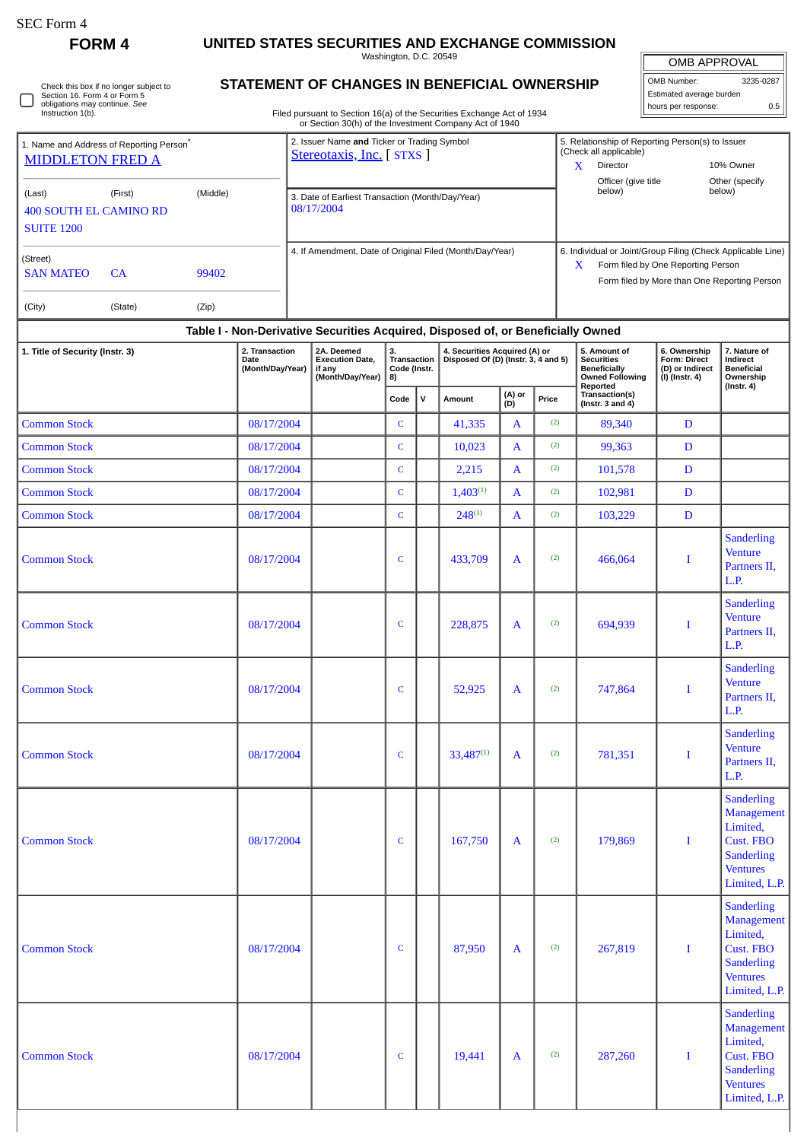## **FORM 4 UNITED STATES SECURITIES AND EXCHANGE COMMISSION**

Washington, D.C. 20549

| Check this box if no longer subject to |
|----------------------------------------|
| Section 16. Form 4 or Form 5           |
| obligations may continue. See          |
| Instruction 1(b).                      |

## **STATEMENT OF CHANGES IN BENEFICIAL OWNERSHIP**

Filed pursuant to Section 16(a) of the Securities Exchange Act of 1934 or Section 30(h) of the Investment Company Act of 1940

| <b>OMB APPROVAL</b>      |     |  |  |  |  |  |  |  |
|--------------------------|-----|--|--|--|--|--|--|--|
| OMB Number:<br>3235-0287 |     |  |  |  |  |  |  |  |
| Estimated average burden |     |  |  |  |  |  |  |  |
| hours per response:      | 0.5 |  |  |  |  |  |  |  |

| <b>MIDDLETON FRED A</b>                                                          | 1. Name and Address of Reporting Person <sup>®</sup> |       | 2. Issuer Name and Ticker or Trading Symbol<br>Stereotaxis, Inc. [STXS ] | 5. Relationship of Reporting Person(s) to Issuer<br>(Check all applicable)                                                                        |                                 |                             |  |  |  |  |  |
|----------------------------------------------------------------------------------|------------------------------------------------------|-------|--------------------------------------------------------------------------|---------------------------------------------------------------------------------------------------------------------------------------------------|---------------------------------|-----------------------------|--|--|--|--|--|
|                                                                                  |                                                      |       |                                                                          |                                                                                                                                                   | Director<br>Officer (give title | 10% Owner<br>Other (specify |  |  |  |  |  |
| (Last)<br><b>SUITE 1200</b>                                                      | (First)<br>(Middle)<br><b>400 SOUTH EL CAMINO RD</b> |       | 3. Date of Earliest Transaction (Month/Day/Year)<br>08/17/2004           |                                                                                                                                                   | below)                          | below)                      |  |  |  |  |  |
| (Street)<br><b>SAN MATEO</b><br>99402<br><b>CA</b>                               |                                                      |       | 4. If Amendment, Date of Original Filed (Month/Day/Year)                 | 6. Individual or Joint/Group Filing (Check Applicable Line)<br>Form filed by One Reporting Person<br>Form filed by More than One Reporting Person |                                 |                             |  |  |  |  |  |
| (City)                                                                           | (State)                                              | (Zip) |                                                                          |                                                                                                                                                   |                                 |                             |  |  |  |  |  |
| Table I - Non-Derivative Securities Acquired, Disposed of, or Beneficially Owned |                                                      |       |                                                                          |                                                                                                                                                   |                                 |                             |  |  |  |  |  |

| 1. Title of Security (Instr. 3) | 2. Transaction<br>Date<br>(Month/Day/Year) | 2A. Deemed<br><b>Execution Date,</b><br>if any<br>(Month/Day/Year) | 3.<br><b>Transaction</b><br>Code (Instr.<br>8) |              | 4. Securities Acquired (A) or<br>Disposed Of (D) (Instr. 3, 4 and 5) |               |       | 5. Amount of<br>6. Ownership<br><b>Securities</b><br>Form: Direct<br>(D) or Indirect<br><b>Beneficially</b><br><b>Owned Following</b><br>$(I)$ (Instr. 4)<br>Reported<br>Transaction(s)<br>(Instr. 3 and $4$ )<br>89,340<br>$\mathbf D$<br>$\mathbf D$<br>99,363 |             | 7. Nature of<br>Indirect<br><b>Beneficial</b><br>Ownership                                                               |
|---------------------------------|--------------------------------------------|--------------------------------------------------------------------|------------------------------------------------|--------------|----------------------------------------------------------------------|---------------|-------|------------------------------------------------------------------------------------------------------------------------------------------------------------------------------------------------------------------------------------------------------------------|-------------|--------------------------------------------------------------------------------------------------------------------------|
|                                 |                                            |                                                                    | Code                                           | $\mathsf{v}$ | Amount                                                               | (A) or<br>(D) | Price |                                                                                                                                                                                                                                                                  |             | $($ Instr. 4 $)$                                                                                                         |
| <b>Common Stock</b>             | 08/17/2004                                 |                                                                    | $\mathbf C$                                    |              | 41,335                                                               | $\mathbf A$   | (2)   |                                                                                                                                                                                                                                                                  |             |                                                                                                                          |
| <b>Common Stock</b>             | 08/17/2004                                 |                                                                    | $\mathbf C$                                    |              | 10,023                                                               | $\mathbf{A}$  | (2)   |                                                                                                                                                                                                                                                                  |             |                                                                                                                          |
| <b>Common Stock</b>             | 08/17/2004                                 |                                                                    | $\mathbf C$                                    |              | 2,215                                                                | A             | (2)   | 101,578                                                                                                                                                                                                                                                          | $\mathbf D$ |                                                                                                                          |
| <b>Common Stock</b>             | 08/17/2004                                 |                                                                    | $\mathbf C$                                    |              | $1,403^{(1)}$                                                        | $\mathbf{A}$  | (2)   | 102,981                                                                                                                                                                                                                                                          | $\mathbf D$ |                                                                                                                          |
| <b>Common Stock</b>             | 08/17/2004                                 |                                                                    | $\mathbf C$                                    |              | $248^{(1)}$                                                          | A             | (2)   | 103,229                                                                                                                                                                                                                                                          | $\mathbf D$ |                                                                                                                          |
| <b>Common Stock</b>             | 08/17/2004                                 |                                                                    | $\mathsf{C}$                                   |              | 433,709                                                              | $\mathbf{A}$  | (2)   | 466,064                                                                                                                                                                                                                                                          | I           | <b>Sanderling</b><br><b>Venture</b><br>Partners II,<br>L.P.                                                              |
| <b>Common Stock</b>             | 08/17/2004                                 |                                                                    | $\mathsf{C}$                                   |              | 228,875                                                              | $\mathbf{A}$  | (2)   | 694,939                                                                                                                                                                                                                                                          | I           | <b>Sanderling</b><br><b>Venture</b><br>Partners II,<br>L.P.                                                              |
| <b>Common Stock</b>             | 08/17/2004                                 |                                                                    | $\mathsf{C}$                                   |              | 52,925                                                               | A             | (2)   | 747,864                                                                                                                                                                                                                                                          | I           | <b>Sanderling</b><br><b>Venture</b><br>Partners II,<br>L.P.                                                              |
| <b>Common Stock</b>             | 08/17/2004                                 |                                                                    | $\mathsf{C}$                                   |              | $33,487^{(1)}$                                                       | $\mathbf{A}$  | (2)   | 781,351                                                                                                                                                                                                                                                          | I           | <b>Sanderling</b><br><b>Venture</b><br>Partners II,<br>L.P.                                                              |
| <b>Common Stock</b>             | 08/17/2004                                 |                                                                    | $\mathbf C$                                    |              | 167,750                                                              | A             | (2)   | 179,869                                                                                                                                                                                                                                                          | I           | <b>Sanderling</b><br>Management<br>Limited,<br><b>Cust. FBO</b><br><b>Sanderling</b><br><b>Ventures</b><br>Limited, L.P. |
| <b>Common Stock</b>             | 08/17/2004                                 |                                                                    | $\mathbf{C}$                                   |              | 87,950                                                               | $\mathbf{A}$  | (2)   | 267,819                                                                                                                                                                                                                                                          | L           | <b>Sanderling</b><br>Management<br>Limited,<br><b>Cust. FBO</b><br><b>Sanderling</b><br><b>Ventures</b><br>Limited, L.P. |
| <b>Common Stock</b>             | 08/17/2004                                 |                                                                    | $\mathbf C$                                    |              | 19,441                                                               | $\mathbf{A}$  | (2)   | 287,260                                                                                                                                                                                                                                                          | I           | <b>Sanderling</b><br>Management<br>Limited,<br><b>Cust. FBO</b><br><b>Sanderling</b><br><b>Ventures</b><br>Limited, L.P. |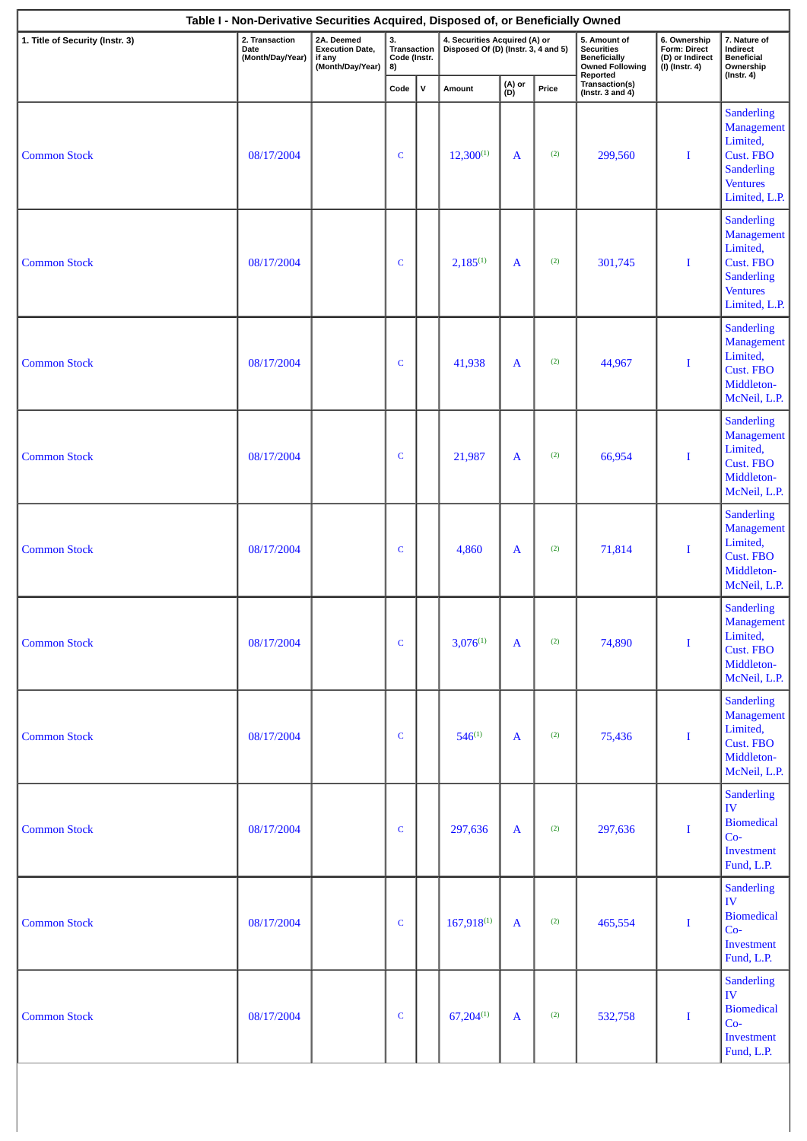|                                 |                                            | Table I - Non-Derivative Securities Acquired, Disposed of, or Beneficially Owned<br>2A. Deemed<br>4. Securities Acquired (A) or<br>Disposed Of (D) (Instr. 3, 4 and 5)<br>5. Amount of<br>З.<br>6. Ownership<br>Form: Direct<br><b>Execution Date,</b><br><b>Transaction</b><br><b>Securities</b><br>Code (Instr.<br><b>Beneficially</b><br>(D) or Indirect<br>if any<br>(Month/Day/Year)<br>8)<br><b>Owned Following</b><br>(I) (Instr. 4)<br>Reported<br>$($ Instr. 4 $)$<br>Transaction(s)<br>(A) or<br>$\mathsf{V}$<br>Code<br>Price<br>Amount<br>(D)<br>(Instr. $3$ and $4$ )<br>$12,300^{(1)}$<br>(2)<br>299,560<br>$\mathbf C$<br>$\mathbf{A}$<br>I<br>$2,185^{(1)}$<br>(2)<br>301,745<br>$\bf{I}$<br>$\mathbf C$<br>A<br>41,938<br>(2)<br>44,967<br>$\mathbf{A}$<br>I<br>$\mathbf C$<br>(2)<br>66,954<br>$\mathbf C$<br>21,987<br>A<br>I<br>(2)<br>71,814<br>$\mathbf C$<br>4,860<br>Ι<br>A<br>$3,076^{(1)}$<br>(2)<br>74,890<br>$\bf{I}$<br>$\mathbf C$<br>A<br>$546^{(1)}$<br>(2)<br>75,436<br>$\bf{I}$<br>$\mathbf C$<br>$\mathbf{A}$ |             |  |                 |              |     |         |   |                                                                                                                                 |
|---------------------------------|--------------------------------------------|--------------------------------------------------------------------------------------------------------------------------------------------------------------------------------------------------------------------------------------------------------------------------------------------------------------------------------------------------------------------------------------------------------------------------------------------------------------------------------------------------------------------------------------------------------------------------------------------------------------------------------------------------------------------------------------------------------------------------------------------------------------------------------------------------------------------------------------------------------------------------------------------------------------------------------------------------------------------------------------------------------------------------------------------------|-------------|--|-----------------|--------------|-----|---------|---|---------------------------------------------------------------------------------------------------------------------------------|
| 1. Title of Security (Instr. 3) | 2. Transaction<br>Date<br>(Month/Day/Year) |                                                                                                                                                                                                                                                                                                                                                                                                                                                                                                                                                                                                                                                                                                                                                                                                                                                                                                                                                                                                                                                  |             |  |                 |              |     |         |   | 7. Nature of<br>Indirect<br><b>Beneficial</b><br>Ownership                                                                      |
|                                 |                                            |                                                                                                                                                                                                                                                                                                                                                                                                                                                                                                                                                                                                                                                                                                                                                                                                                                                                                                                                                                                                                                                  |             |  |                 |              |     |         |   |                                                                                                                                 |
| <b>Common Stock</b>             | 08/17/2004                                 |                                                                                                                                                                                                                                                                                                                                                                                                                                                                                                                                                                                                                                                                                                                                                                                                                                                                                                                                                                                                                                                  |             |  |                 |              |     |         |   | <b>Sanderling</b><br><b>Management</b><br>Limited,<br><b>Cust. FBO</b><br><b>Sanderling</b><br><b>Ventures</b><br>Limited, L.P. |
| <b>Common Stock</b>             | 08/17/2004                                 |                                                                                                                                                                                                                                                                                                                                                                                                                                                                                                                                                                                                                                                                                                                                                                                                                                                                                                                                                                                                                                                  |             |  |                 |              |     |         |   | <b>Sanderling</b><br><b>Management</b><br>Limited,<br><b>Cust. FBO</b><br><b>Sanderling</b><br><b>Ventures</b><br>Limited, L.P. |
| <b>Common Stock</b>             | 08/17/2004                                 |                                                                                                                                                                                                                                                                                                                                                                                                                                                                                                                                                                                                                                                                                                                                                                                                                                                                                                                                                                                                                                                  |             |  |                 |              |     |         |   | <b>Sanderling</b><br><b>Management</b><br>Limited,<br><b>Cust. FBO</b><br>Middleton-<br>McNeil, L.P.                            |
| <b>Common Stock</b>             | 08/17/2004                                 |                                                                                                                                                                                                                                                                                                                                                                                                                                                                                                                                                                                                                                                                                                                                                                                                                                                                                                                                                                                                                                                  |             |  |                 |              |     |         |   | <b>Sanderling</b><br><b>Management</b><br>Limited,<br><b>Cust. FBO</b><br>Middleton-<br>McNeil, L.P.                            |
| <b>Common Stock</b>             | 08/17/2004                                 |                                                                                                                                                                                                                                                                                                                                                                                                                                                                                                                                                                                                                                                                                                                                                                                                                                                                                                                                                                                                                                                  |             |  |                 |              |     |         |   | <b>Sanderling</b><br><b>Management</b><br>Limited,<br><b>Cust. FBO</b><br>Middleton-<br>McNeil, L.P.                            |
| <b>Common Stock</b>             | 08/17/2004                                 |                                                                                                                                                                                                                                                                                                                                                                                                                                                                                                                                                                                                                                                                                                                                                                                                                                                                                                                                                                                                                                                  |             |  |                 |              |     |         |   | <b>Sanderling</b><br>Management<br>Limited,<br><b>Cust. FBO</b><br>Middleton-<br>McNeil, L.P.                                   |
| <b>Common Stock</b>             | 08/17/2004                                 |                                                                                                                                                                                                                                                                                                                                                                                                                                                                                                                                                                                                                                                                                                                                                                                                                                                                                                                                                                                                                                                  |             |  |                 |              |     |         |   | <b>Sanderling</b><br>Management<br>Limited,<br><b>Cust. FBO</b><br>Middleton-<br>McNeil, L.P.                                   |
| <b>Common Stock</b>             | 08/17/2004                                 |                                                                                                                                                                                                                                                                                                                                                                                                                                                                                                                                                                                                                                                                                                                                                                                                                                                                                                                                                                                                                                                  | $\mathbf C$ |  | 297,636         | $\mathbf{A}$ | (2) | 297,636 | I | <b>Sanderling</b><br>IV<br><b>Biomedical</b><br>$Co-$<br><b>Investment</b><br>Fund, L.P.                                        |
| <b>Common Stock</b>             | 08/17/2004                                 |                                                                                                                                                                                                                                                                                                                                                                                                                                                                                                                                                                                                                                                                                                                                                                                                                                                                                                                                                                                                                                                  | $\mathbf C$ |  | $167,918^{(1)}$ | $\mathbf{A}$ | (2) | 465,554 | I | <b>Sanderling</b><br>IV<br><b>Biomedical</b><br>$Co-$<br>Investment<br>Fund, L.P.                                               |
| <b>Common Stock</b>             | 08/17/2004                                 |                                                                                                                                                                                                                                                                                                                                                                                                                                                                                                                                                                                                                                                                                                                                                                                                                                                                                                                                                                                                                                                  | $\mathbf C$ |  | $67,204^{(1)}$  | $\mathbf{A}$ | (2) | 532,758 | I | Sanderling<br>IV<br><b>Biomedical</b><br>$Co-$<br>Investment<br>Fund, L.P.                                                      |
|                                 |                                            |                                                                                                                                                                                                                                                                                                                                                                                                                                                                                                                                                                                                                                                                                                                                                                                                                                                                                                                                                                                                                                                  |             |  |                 |              |     |         |   |                                                                                                                                 |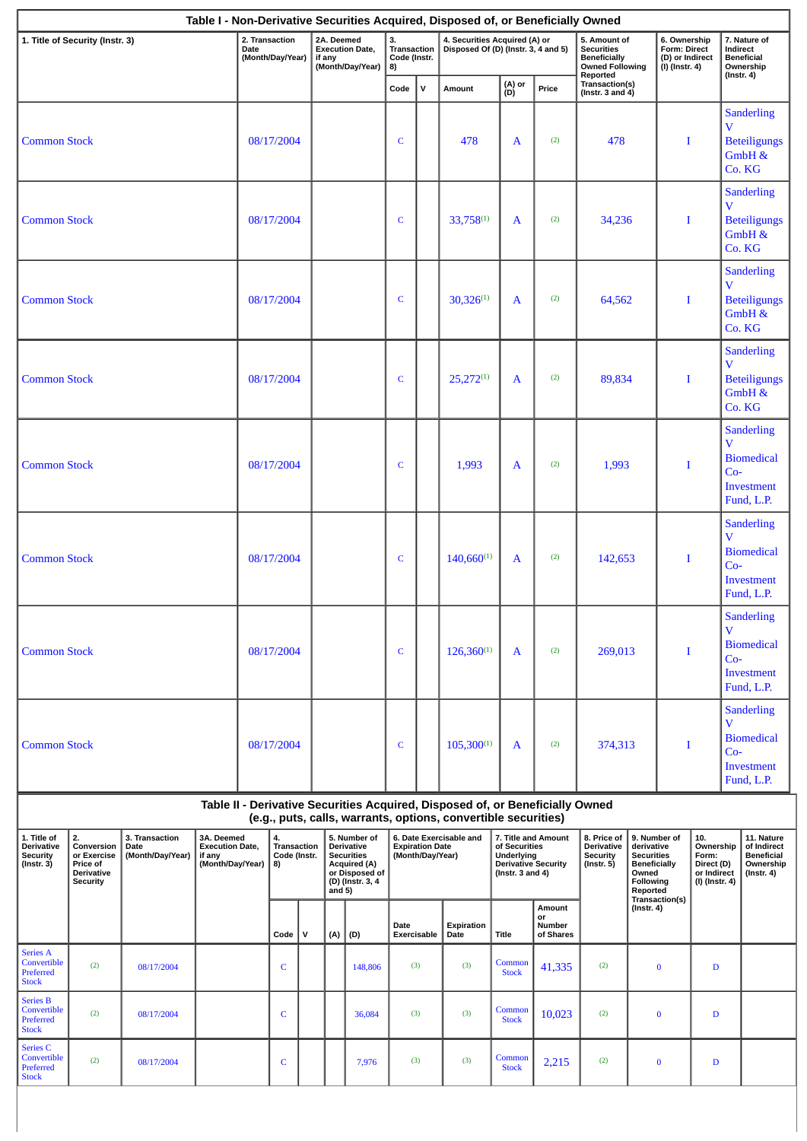|                                                                  |                                                                                                                                                                                                                                                                                                                                                                                                                                                  |            |      |                                    |                                            |                                                |                                                                                    |                                         |                                                                   | Table I - Non-Derivative Securities Acquired, Disposed of, or Beneficially Owned                         |                        |                                                                          |                                                                                                |                                                                                 |                                                                   |   |                                                                                |                                                                           |
|------------------------------------------------------------------|--------------------------------------------------------------------------------------------------------------------------------------------------------------------------------------------------------------------------------------------------------------------------------------------------------------------------------------------------------------------------------------------------------------------------------------------------|------------|------|------------------------------------|--------------------------------------------|------------------------------------------------|------------------------------------------------------------------------------------|-----------------------------------------|-------------------------------------------------------------------|----------------------------------------------------------------------------------------------------------|------------------------|--------------------------------------------------------------------------|------------------------------------------------------------------------------------------------|---------------------------------------------------------------------------------|-------------------------------------------------------------------|---|--------------------------------------------------------------------------------|---------------------------------------------------------------------------|
|                                                                  | 1. Title of Security (Instr. 3)                                                                                                                                                                                                                                                                                                                                                                                                                  |            | Date | 2. Transaction<br>(Month/Day/Year) |                                            | 2A. Deemed<br><b>Execution Date,</b><br>if any | (Month/Day/Year)                                                                   | 3.<br>Transaction<br>Code (Instr.<br>8) |                                                                   | 4. Securities Acquired (A) or<br>Disposed Of (D) (Instr. 3, 4 and 5)                                     |                        |                                                                          | 5. Amount of<br><b>Securities</b><br><b>Beneficially</b><br><b>Owned Following</b><br>Reported |                                                                                 | 6. Ownership<br>Form: Direct<br>(D) or Indirect<br>(I) (Instr. 4) |   | 7. Nature of<br>Indirect<br><b>Beneficial</b><br>Ownership<br>$($ Instr. 4 $)$ |                                                                           |
|                                                                  |                                                                                                                                                                                                                                                                                                                                                                                                                                                  |            |      |                                    |                                            |                                                |                                                                                    | Code                                    | $\mathbf{v}$                                                      | Amount                                                                                                   | (A) or<br>(D)          | Price                                                                    | Transaction(s)<br>(Instr. $3$ and $4$ )                                                        |                                                                                 |                                                                   |   |                                                                                |                                                                           |
| <b>Common Stock</b>                                              |                                                                                                                                                                                                                                                                                                                                                                                                                                                  |            |      | 08/17/2004                         |                                            |                                                |                                                                                    | $\mathbf C$                             |                                                                   | 478                                                                                                      | A                      | (2)                                                                      | 478                                                                                            |                                                                                 | I                                                                 |   | $\overline{\mathbf{V}}$<br>GmbH &<br>Co. KG                                    | <b>Sanderling</b><br><b>Beteiligungs</b>                                  |
| <b>Common Stock</b>                                              |                                                                                                                                                                                                                                                                                                                                                                                                                                                  |            |      | 08/17/2004                         |                                            |                                                |                                                                                    | $\mathbf C$                             |                                                                   | $33,758^{(1)}$                                                                                           | A                      | (2)                                                                      | 34,236                                                                                         |                                                                                 | I                                                                 |   | V<br>GmbH &<br>Co. KG                                                          | <b>Sanderling</b><br><b>Beteiligungs</b>                                  |
| <b>Common Stock</b>                                              |                                                                                                                                                                                                                                                                                                                                                                                                                                                  |            |      | 08/17/2004                         |                                            |                                                |                                                                                    | $\mathbf C$                             |                                                                   | $30,326^{(1)}$                                                                                           | A                      | (2)                                                                      | 64,562                                                                                         |                                                                                 | I                                                                 |   | $\overline{\mathbf{V}}$<br>GmbH &<br>Co. KG                                    | <b>Sanderling</b><br><b>Beteiligungs</b>                                  |
| <b>Common Stock</b>                                              |                                                                                                                                                                                                                                                                                                                                                                                                                                                  |            |      | 08/17/2004                         |                                            |                                                |                                                                                    | $\mathbf C$                             |                                                                   | $25,272^{(1)}$                                                                                           | A                      | (2)                                                                      | 89,834                                                                                         |                                                                                 | I                                                                 |   | V<br>GmbH &<br>Co. KG                                                          | <b>Sanderling</b><br><b>Beteiligungs</b>                                  |
| <b>Common Stock</b>                                              |                                                                                                                                                                                                                                                                                                                                                                                                                                                  |            |      | 08/17/2004                         |                                            |                                                |                                                                                    | $\mathbf C$                             |                                                                   | 1,993                                                                                                    | A                      | (2)                                                                      | 1,993                                                                                          |                                                                                 | I                                                                 |   | $\overline{\mathbf{V}}$<br>$Co-$                                               | <b>Sanderling</b><br><b>Biomedical</b><br>Investment<br>Fund, L.P.        |
| <b>Common Stock</b>                                              |                                                                                                                                                                                                                                                                                                                                                                                                                                                  |            |      | 08/17/2004                         |                                            |                                                |                                                                                    | $\mathsf{C}$                            |                                                                   | $140,660^{(1)}$                                                                                          | A                      | (2)                                                                      | 142,653                                                                                        |                                                                                 | Ι.                                                                |   | $\overline{\mathbf{V}}$<br>$Co-$                                               | <b>Sanderling</b><br><b>Biomedical</b><br>Investment<br>Fund, L.P.        |
| <b>Common Stock</b>                                              |                                                                                                                                                                                                                                                                                                                                                                                                                                                  |            |      | 08/17/2004                         |                                            |                                                |                                                                                    | $\mathbf C$                             |                                                                   | $126,360^{(1)}$                                                                                          | A                      | (2)                                                                      | 269,013                                                                                        |                                                                                 | I                                                                 |   | $\mathbf{V}$<br>$Co-$                                                          | <b>Sanderling</b><br><b>Biomedical</b><br>Investment<br>Fund, L.P.        |
| <b>Common Stock</b>                                              |                                                                                                                                                                                                                                                                                                                                                                                                                                                  |            |      | 08/17/2004                         |                                            |                                                |                                                                                    | $\mathsf{C}$                            |                                                                   | $105,300^{(1)}$                                                                                          | $\mathbf{A}$           | (2)                                                                      | 374,313                                                                                        |                                                                                 | I                                                                 |   | $\overline{\mathbf{V}}$<br>$Co-$                                               | <b>Sanderling</b><br><b>Biomedical</b><br><b>Investment</b><br>Fund, L.P. |
|                                                                  |                                                                                                                                                                                                                                                                                                                                                                                                                                                  |            |      |                                    |                                            |                                                |                                                                                    |                                         |                                                                   | Table II - Derivative Securities Acquired, Disposed of, or Beneficially Owned                            |                        |                                                                          |                                                                                                |                                                                                 |                                                                   |   |                                                                                |                                                                           |
| 1. Title of<br>Derivative<br><b>Security</b><br>$($ Instr. 3 $)$ | (e.g., puts, calls, warrants, options, convertible securities)<br>2.<br>3A. Deemed<br>5. Number of<br>3. Transaction<br>4.<br>Conversion<br>Transaction<br>Derivative<br><b>Execution Date,</b><br>Date<br>(Month/Day/Year)<br>Code (Instr.<br><b>Securities</b><br>or Exercise<br>if any<br>(Month/Day/Year)<br><b>Acquired (A)</b><br>Price of<br>8)<br>or Disposed of<br><b>Derivative</b><br>(D) (Instr. 3, 4<br><b>Security</b><br>and $5)$ |            |      |                                    | <b>Expiration Date</b><br>(Month/Day/Year) | 6. Date Exercisable and                        | of Securities<br>Underlying<br><b>Derivative Security</b><br>(Instr. $3$ and $4$ ) | 7. Title and Amount                     | 8. Price of<br><b>Derivative</b><br><b>Security</b><br>(Instr. 5) | 9. Number of<br>derivative<br><b>Securities</b><br><b>Beneficially</b><br>Owned<br>Following<br>Reported |                        | 10.<br>Ownership<br>Form:<br>Direct (D)<br>or Indirect<br>(I) (Instr. 4) |                                                                                                | 11. Nature<br>of Indirect<br><b>Beneficial</b><br>Ownership<br>$($ lnstr. 4 $)$ |                                                                   |   |                                                                                |                                                                           |
|                                                                  |                                                                                                                                                                                                                                                                                                                                                                                                                                                  |            |      | Code                               | ${\sf v}$                                  | (A)                                            | (D)                                                                                | Date<br>Exercisable                     |                                                                   | Expiration<br>Date                                                                                       | <b>Title</b>           | Amount<br>or<br>Number<br>of Shares                                      |                                                                                                | $($ Instr. 4 $)$                                                                | Transaction(s)                                                    |   |                                                                                |                                                                           |
| <b>Series A</b><br>Convertible<br>Preferred<br><b>Stock</b>      | (2)                                                                                                                                                                                                                                                                                                                                                                                                                                              | 08/17/2004 |      | $\mathsf{C}$                       |                                            |                                                | 148,806                                                                            |                                         | (3)                                                               | (3)                                                                                                      | Common<br><b>Stock</b> | 41,335                                                                   | (2)                                                                                            |                                                                                 | $\bf{0}$                                                          | D |                                                                                |                                                                           |
| <b>Series B</b><br>Convertible<br>Preferred<br><b>Stock</b>      | (2)                                                                                                                                                                                                                                                                                                                                                                                                                                              | 08/17/2004 |      | C                                  |                                            |                                                | 36,084                                                                             |                                         | (3)                                                               | (3)                                                                                                      | Common<br><b>Stock</b> | 10,023                                                                   | (2)                                                                                            |                                                                                 | $\bf{0}$                                                          | D |                                                                                |                                                                           |
| <b>Series C</b><br>Convertible<br>Preferred<br><b>Stock</b>      | (2)                                                                                                                                                                                                                                                                                                                                                                                                                                              | 08/17/2004 |      | C                                  |                                            |                                                | 7,976                                                                              |                                         | (3)                                                               | (3)                                                                                                      | Common<br><b>Stock</b> | 2,215                                                                    | (2)                                                                                            |                                                                                 | $\bf{0}$                                                          | D |                                                                                |                                                                           |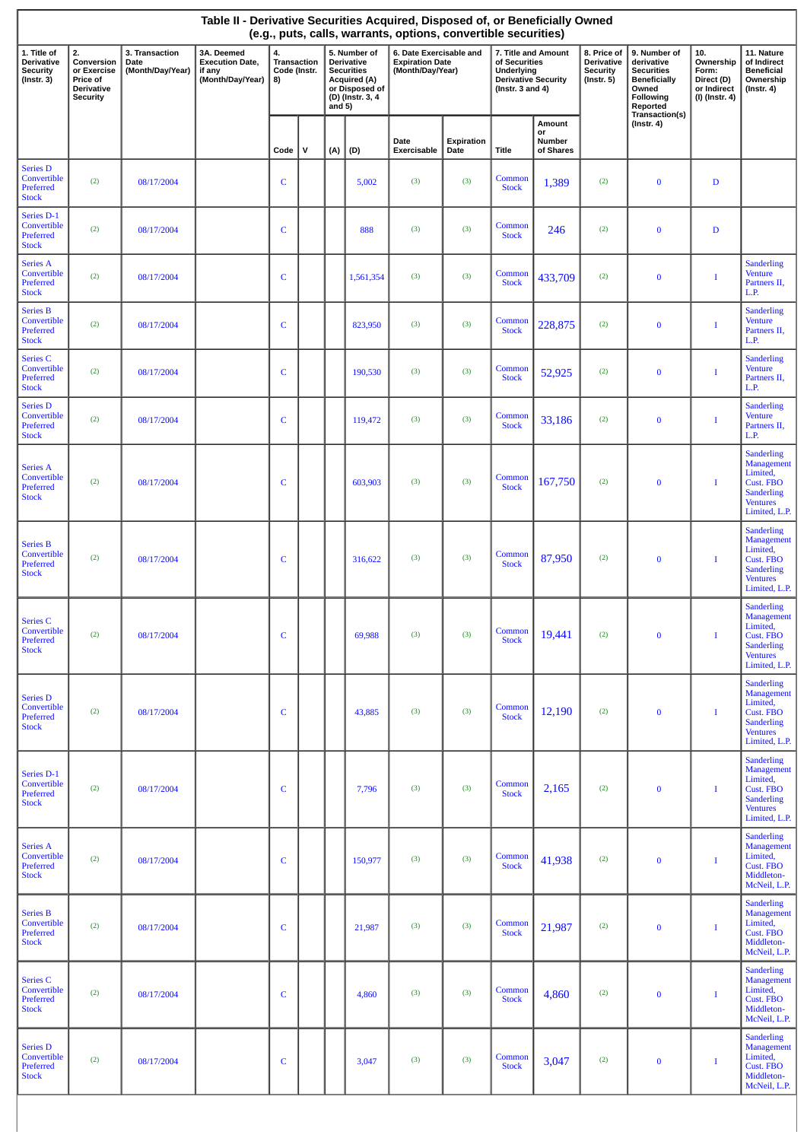| Table II - Derivative Securities Acquired, Disposed of, or Beneficially Owned<br>(e.g., puts, calls, warrants, options, convertible securities) |                                                                                     |                                            |                                                                    |                                                |   |           |                                                                                                              |                                                                       |                    |                                                                                                             |                                     |                                                                  |                                                                                                                            |                                                                          |                                                                                                                          |
|-------------------------------------------------------------------------------------------------------------------------------------------------|-------------------------------------------------------------------------------------|--------------------------------------------|--------------------------------------------------------------------|------------------------------------------------|---|-----------|--------------------------------------------------------------------------------------------------------------|-----------------------------------------------------------------------|--------------------|-------------------------------------------------------------------------------------------------------------|-------------------------------------|------------------------------------------------------------------|----------------------------------------------------------------------------------------------------------------------------|--------------------------------------------------------------------------|--------------------------------------------------------------------------------------------------------------------------|
| 1. Title of<br>Derivative<br><b>Security</b><br>$($ Instr. 3 $)$                                                                                | 2.<br>Conversion<br>or Exercise<br>Price of<br><b>Derivative</b><br><b>Security</b> | 3. Transaction<br>Date<br>(Month/Day/Year) | 3A. Deemed<br><b>Execution Date,</b><br>if any<br>(Month/Day/Year) | 4.<br><b>Transaction</b><br>Code (Instr.<br>8) |   | and $5$ ) | 5. Number of<br>Derivative<br><b>Securities</b><br><b>Acquired (A)</b><br>or Disposed of<br>(D) (Instr. 3, 4 | 6. Date Exercisable and<br><b>Expiration Date</b><br>(Month/Day/Year) |                    | 7. Title and Amount<br>of Securities<br><b>Underlying</b><br><b>Derivative Security</b><br>(Instr. 3 and 4) |                                     | 8. Price of<br>Derivative<br><b>Security</b><br>$($ Instr. 5 $)$ | 9. Number of<br>derivative<br><b>Securities</b><br><b>Beneficially</b><br>Owned<br>Following<br>Reported<br>Transaction(s) | 10.<br>Ownership<br>Form:<br>Direct (D)<br>or Indirect<br>(I) (Instr. 4) | 11. Nature<br>of Indirect<br><b>Beneficial</b><br>Ownership<br>(Instr. 4)                                                |
|                                                                                                                                                 |                                                                                     |                                            |                                                                    | Code                                           | v | (A)       | (D)                                                                                                          | Date<br>Exercisable                                                   | Expiration<br>Date | <b>Title</b>                                                                                                | Amount<br>or<br>Number<br>of Shares |                                                                  | $($ Instr. 4 $)$                                                                                                           |                                                                          |                                                                                                                          |
| <b>Series D</b><br>Convertible<br>Preferred<br><b>Stock</b>                                                                                     | (2)                                                                                 | 08/17/2004                                 |                                                                    | C                                              |   |           | 5,002                                                                                                        | (3)                                                                   | (3)                | Common<br><b>Stock</b>                                                                                      | 1,389                               | (2)                                                              | $\bf{0}$                                                                                                                   | $\mathbf D$                                                              |                                                                                                                          |
| Series D-1<br>Convertible<br>Preferred<br><b>Stock</b>                                                                                          | (2)                                                                                 | 08/17/2004                                 |                                                                    | $\mathsf{C}$                                   |   |           | 888                                                                                                          | (3)                                                                   | (3)                | Common<br><b>Stock</b>                                                                                      | 246                                 | (2)                                                              | $\bf{0}$                                                                                                                   | $\mathbf D$                                                              |                                                                                                                          |
| Series A<br>Convertible<br>Preferred<br><b>Stock</b>                                                                                            | (2)                                                                                 | 08/17/2004                                 |                                                                    | C                                              |   |           | 1,561,354                                                                                                    | (3)                                                                   | (3)                | Common<br><b>Stock</b>                                                                                      | 433,709                             | (2)                                                              | $\bf{0}$                                                                                                                   | I                                                                        | Sanderling<br><b>Venture</b><br>Partners II,<br>L.P.                                                                     |
| <b>Series B</b><br>Convertible<br>Preferred<br><b>Stock</b>                                                                                     | (2)                                                                                 | 08/17/2004                                 |                                                                    | C                                              |   |           | 823,950                                                                                                      | (3)                                                                   | (3)                | Common<br><b>Stock</b>                                                                                      | 228,875                             | (2)                                                              | $\bf{0}$                                                                                                                   | Т                                                                        | <b>Sanderling</b><br><b>Venture</b><br>Partners II,<br>L.P.                                                              |
| <b>Series C</b><br>Convertible<br>Preferred<br><b>Stock</b>                                                                                     | (2)                                                                                 | 08/17/2004                                 |                                                                    | $\mathbf C$                                    |   |           | 190,530                                                                                                      | (3)                                                                   | (3)                | Common<br><b>Stock</b>                                                                                      | 52,925                              | (2)                                                              | $\bf{0}$                                                                                                                   | I                                                                        | <b>Sanderling</b><br><b>Venture</b><br>Partners II,<br>L.P.                                                              |
| <b>Series D</b><br>Convertible<br>Preferred<br><b>Stock</b>                                                                                     | (2)                                                                                 | 08/17/2004                                 |                                                                    | $\mathsf{C}$                                   |   |           | 119,472                                                                                                      | (3)                                                                   | (3)                | Common<br><b>Stock</b>                                                                                      | 33,186                              | (2)                                                              | $\bf{0}$                                                                                                                   | I                                                                        | <b>Sanderling</b><br><b>Venture</b><br>Partners II,<br>L.P.                                                              |
| Series A<br>Convertible<br>Preferred<br><b>Stock</b>                                                                                            | (2)                                                                                 | 08/17/2004                                 |                                                                    | C                                              |   |           | 603,903                                                                                                      | (3)                                                                   | (3)                | Common<br><b>Stock</b>                                                                                      | 167,750                             | (2)                                                              | $\bf{0}$                                                                                                                   | I                                                                        | <b>Sanderling</b><br>Management<br>Limited,<br><b>Cust. FBO</b><br><b>Sanderling</b><br><b>Ventures</b><br>Limited, L.P. |
| <b>Series B</b><br>Convertible<br>Preferred<br><b>Stock</b>                                                                                     | (2)                                                                                 | 08/17/2004                                 |                                                                    | $\mathbf C$                                    |   |           | 316,622                                                                                                      | (3)                                                                   | (3)                | Common<br><b>Stock</b>                                                                                      | 87,950                              | (2)                                                              | $\bf{0}$                                                                                                                   | I                                                                        | <b>Sanderling</b><br>Management<br>Limited,<br>Cust. FBO<br><b>Sanderling</b><br><b>Ventures</b><br>Limited, L.P.        |
| <b>Series C</b><br>Convertible<br>Preferred<br><b>Stock</b>                                                                                     | (2)                                                                                 | 08/17/2004                                 |                                                                    | C                                              |   |           | 69,988                                                                                                       | (3)                                                                   | (3)                | Common<br><b>Stock</b>                                                                                      | 19,441                              | (2)                                                              | $\bf{0}$                                                                                                                   | T                                                                        | <b>Sanderling</b><br>Management<br>Limited,<br>Cust. FBO<br><b>Sanderling</b><br><b>Ventures</b><br>Limited, L.P.        |
| <b>Series D</b><br>Convertible<br>Preferred<br><b>Stock</b>                                                                                     | (2)                                                                                 | 08/17/2004                                 |                                                                    | C                                              |   |           | 43,885                                                                                                       | (3)                                                                   | (3)                | Common<br><b>Stock</b>                                                                                      | 12,190                              | (2)                                                              | $\bf{0}$                                                                                                                   | -1                                                                       | <b>Sanderling</b><br>Management<br>Limited,<br>Cust. FBO<br><b>Sanderling</b><br><b>Ventures</b><br>Limited, L.P.        |
| Series D-1<br>Convertible<br>Preferred<br><b>Stock</b>                                                                                          | (2)                                                                                 | 08/17/2004                                 |                                                                    | C                                              |   |           | 7,796                                                                                                        | (3)                                                                   | (3)                | Common<br><b>Stock</b>                                                                                      | 2,165                               | (2)                                                              | $\bf{0}$                                                                                                                   | I                                                                        | <b>Sanderling</b><br><b>Management</b><br>Limited,<br>Cust. FBO<br><b>Sanderling</b><br><b>Ventures</b><br>Limited, L.P. |
| Series A<br>Convertible<br>Preferred<br><b>Stock</b>                                                                                            | (2)                                                                                 | 08/17/2004                                 |                                                                    | C                                              |   |           | 150,977                                                                                                      | (3)                                                                   | (3)                | Common<br><b>Stock</b>                                                                                      | 41,938                              | (2)                                                              | $\bf{0}$                                                                                                                   | 1                                                                        | <b>Sanderling</b><br>Management<br>Limited,<br>Cust. FBO<br>Middleton-<br>McNeil, L.P.                                   |
| <b>Series B</b><br>Convertible<br>Preferred<br><b>Stock</b>                                                                                     | (2)                                                                                 | 08/17/2004                                 |                                                                    | C                                              |   |           | 21,987                                                                                                       | (3)                                                                   | (3)                | Common<br><b>Stock</b>                                                                                      | 21,987                              | (2)                                                              | $\bf{0}$                                                                                                                   | -1                                                                       | <b>Sanderling</b><br>Management<br>Limited,<br>Cust. FBO<br>Middleton-<br>McNeil, L.P.                                   |
| <b>Series C</b><br>Convertible<br>Preferred<br><b>Stock</b>                                                                                     | (2)                                                                                 | 08/17/2004                                 |                                                                    | C                                              |   |           | 4,860                                                                                                        | (3)                                                                   | (3)                | Common<br><b>Stock</b>                                                                                      | 4,860                               | (2)                                                              | $\bf{0}$                                                                                                                   | I                                                                        | <b>Sanderling</b><br><b>Management</b><br>Limited,<br>Cust. FBO<br>Middleton-<br>McNeil, L.P.                            |
| <b>Series D</b><br>Convertible<br>Preferred<br><b>Stock</b>                                                                                     | (2)                                                                                 | 08/17/2004                                 |                                                                    | C                                              |   |           | 3,047                                                                                                        | (3)                                                                   | (3)                | Common<br><b>Stock</b>                                                                                      | 3,047                               | (2)                                                              | $\bf{0}$                                                                                                                   | I                                                                        | <b>Sanderling</b><br>Management<br>Limited,<br><b>Cust. FBO</b><br>Middleton-<br>McNeil, L.P.                            |